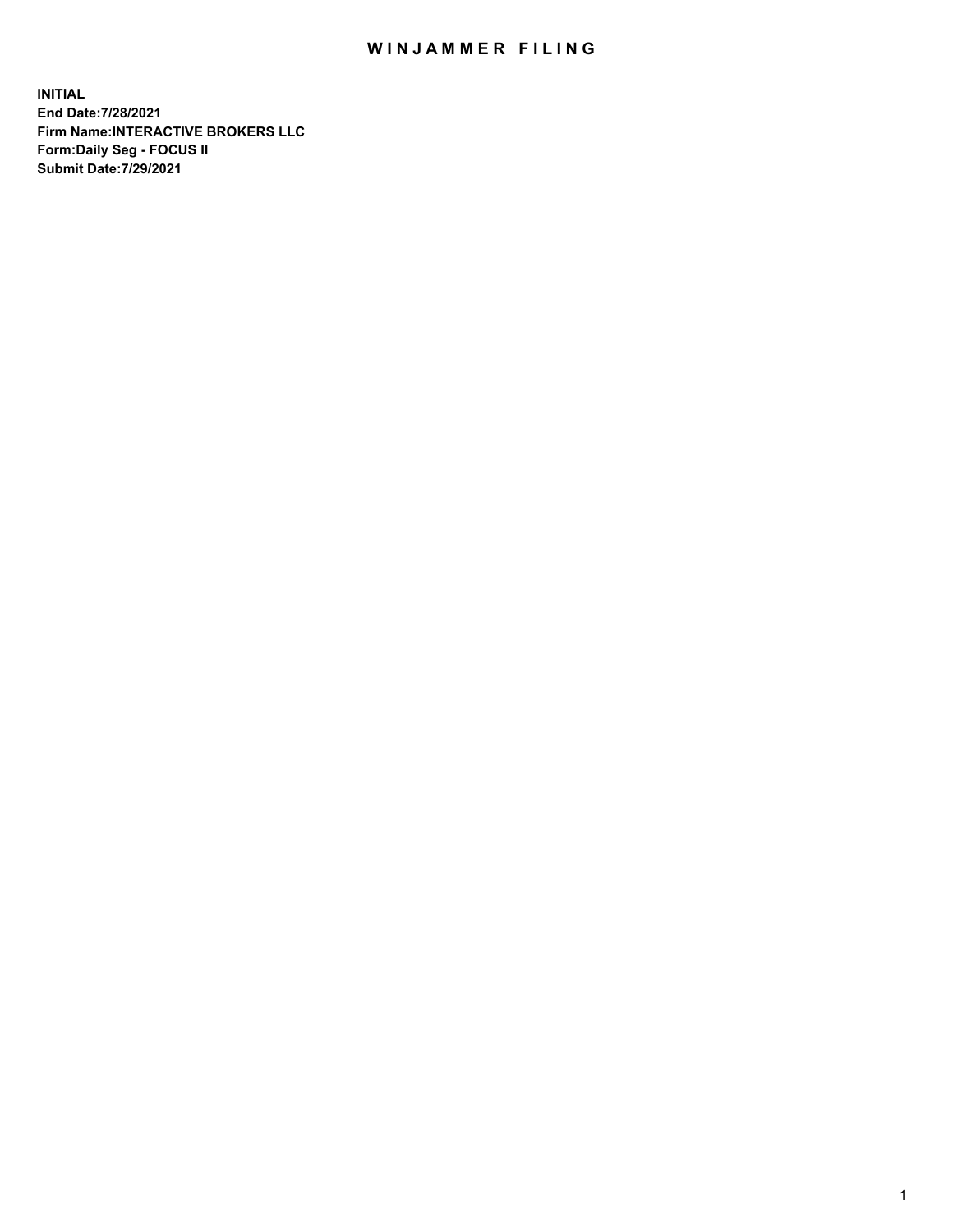## WIN JAMMER FILING

**INITIAL End Date:7/28/2021 Firm Name:INTERACTIVE BROKERS LLC Form:Daily Seg - FOCUS II Submit Date:7/29/2021**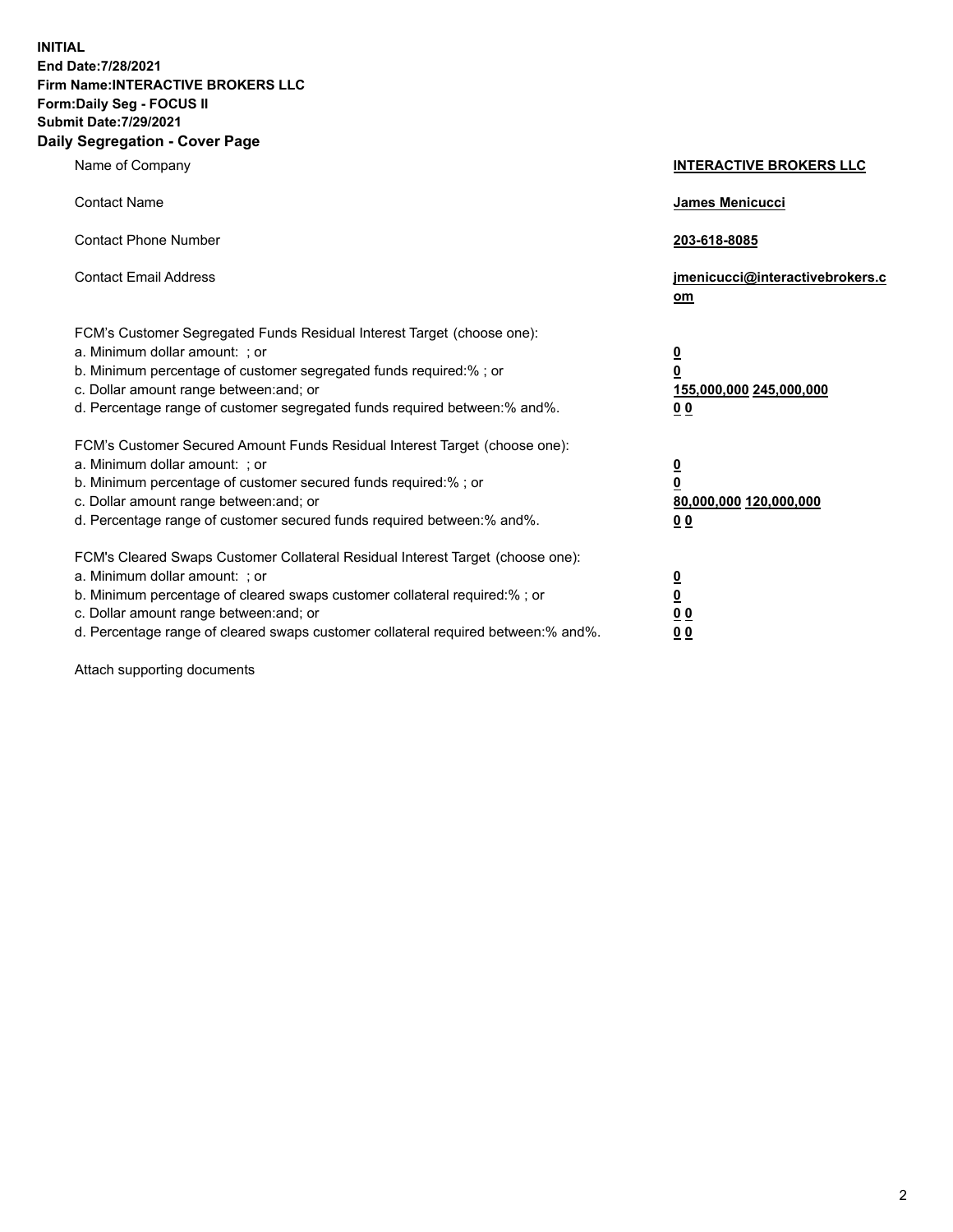**INITIAL End Date:7/28/2021 Firm Name:INTERACTIVE BROKERS LLC Form:Daily Seg - FOCUS II Submit Date:7/29/2021 Daily Segregation - Cover Page**

| Name of Company                                                                                                                                                                                                                                                                                                                | <b>INTERACTIVE BROKERS LLC</b>                                                                  |  |
|--------------------------------------------------------------------------------------------------------------------------------------------------------------------------------------------------------------------------------------------------------------------------------------------------------------------------------|-------------------------------------------------------------------------------------------------|--|
| <b>Contact Name</b>                                                                                                                                                                                                                                                                                                            | James Menicucci                                                                                 |  |
| <b>Contact Phone Number</b>                                                                                                                                                                                                                                                                                                    | 203-618-8085                                                                                    |  |
| <b>Contact Email Address</b>                                                                                                                                                                                                                                                                                                   | jmenicucci@interactivebrokers.c<br>om                                                           |  |
| FCM's Customer Segregated Funds Residual Interest Target (choose one):<br>a. Minimum dollar amount: ; or<br>b. Minimum percentage of customer segregated funds required:% ; or<br>c. Dollar amount range between: and; or<br>d. Percentage range of customer segregated funds required between:% and%.                         | $\overline{\mathbf{0}}$<br>$\overline{\mathbf{0}}$<br>155,000,000 245,000,000<br>0 <sub>0</sub> |  |
| FCM's Customer Secured Amount Funds Residual Interest Target (choose one):<br>a. Minimum dollar amount: ; or<br>b. Minimum percentage of customer secured funds required:%; or<br>c. Dollar amount range between: and; or<br>d. Percentage range of customer secured funds required between:% and%.                            | $\overline{\mathbf{0}}$<br>$\overline{\mathbf{0}}$<br>80,000,000 120,000,000<br>0 <sub>0</sub>  |  |
| FCM's Cleared Swaps Customer Collateral Residual Interest Target (choose one):<br>a. Minimum dollar amount: ; or<br>b. Minimum percentage of cleared swaps customer collateral required:% ; or<br>c. Dollar amount range between: and; or<br>d. Percentage range of cleared swaps customer collateral required between:% and%. | $\frac{0}{0}$<br>0 <sub>0</sub><br>0 <sub>0</sub>                                               |  |

Attach supporting documents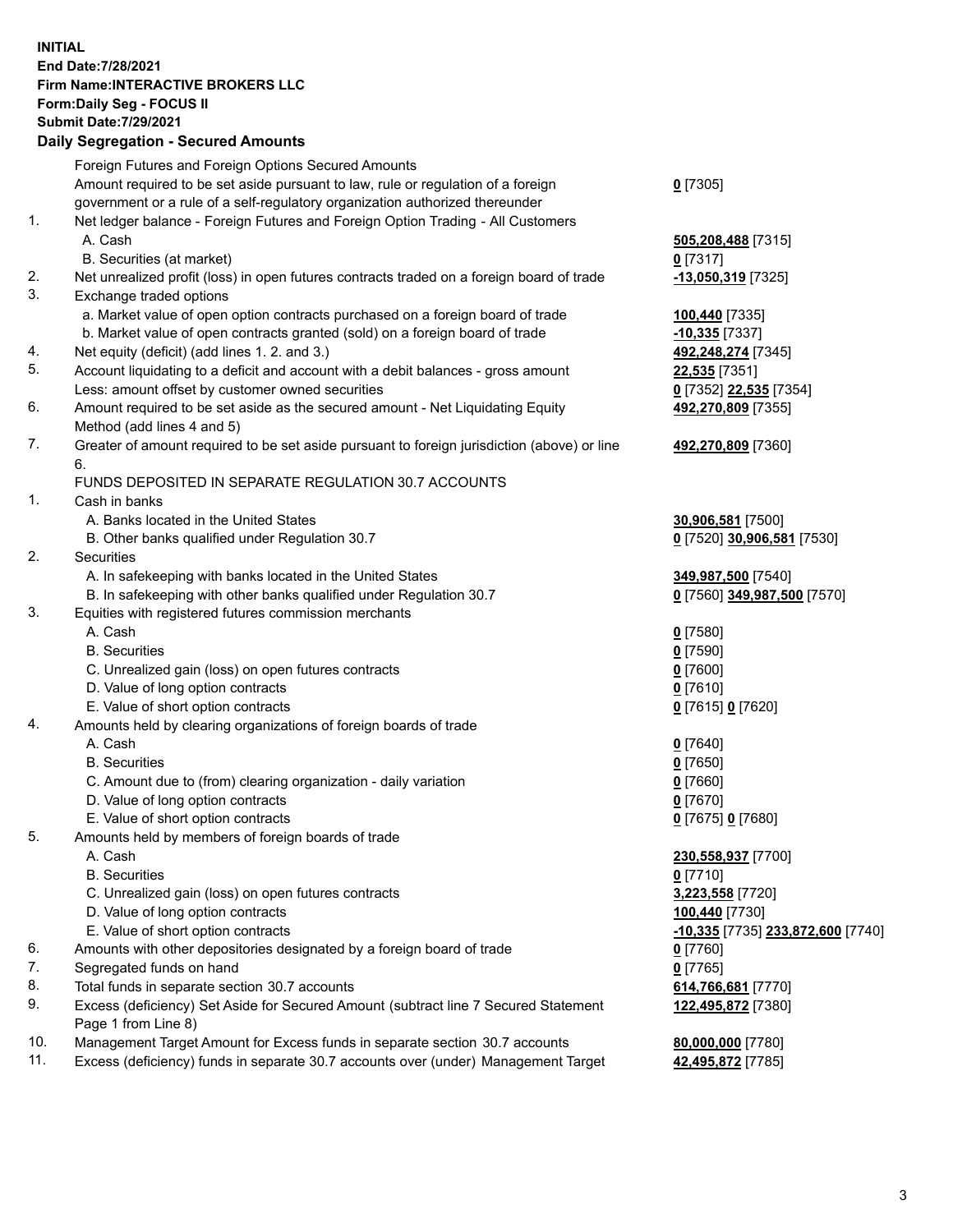**INITIAL End Date:7/28/2021 Firm Name:INTERACTIVE BROKERS LLC Form:Daily Seg - FOCUS II Submit Date:7/29/2021 Daily Segregation - Secured Amounts**

## Foreign Futures and Foreign Options Secured Amounts Amount required to be set aside pursuant to law, rule or regulation of a foreign government or a rule of a self-regulatory organization authorized thereunder **0** [7305] 1. Net ledger balance - Foreign Futures and Foreign Option Trading - All Customers A. Cash **505,208,488** [7315] B. Securities (at market) **0** [7317] 2. Net unrealized profit (loss) in open futures contracts traded on a foreign board of trade **-13,050,319** [7325] 3. Exchange traded options a. Market value of open option contracts purchased on a foreign board of trade **100,440** [7335] b. Market value of open contracts granted (sold) on a foreign board of trade **-10,335** [7337] 4. Net equity (deficit) (add lines 1. 2. and 3.) **492,248,274** [7345] 5. Account liquidating to a deficit and account with a debit balances - gross amount **22,535** [7351] Less: amount offset by customer owned securities **0** [7352] **22,535** [7354] 6. Amount required to be set aside as the secured amount - Net Liquidating Equity Method (add lines 4 and 5) **492,270,809** [7355] 7. Greater of amount required to be set aside pursuant to foreign jurisdiction (above) or line 6. **492,270,809** [7360] FUNDS DEPOSITED IN SEPARATE REGULATION 30.7 ACCOUNTS 1. Cash in banks A. Banks located in the United States **30,906,581** [7500] B. Other banks qualified under Regulation 30.7 **0** [7520] **30,906,581** [7530] 2. Securities A. In safekeeping with banks located in the United States **349,987,500** [7540] B. In safekeeping with other banks qualified under Regulation 30.7 **0** [7560] **349,987,500** [7570] 3. Equities with registered futures commission merchants A. Cash **0** [7580] B. Securities **0** [7590] C. Unrealized gain (loss) on open futures contracts **0** [7600] D. Value of long option contracts **0** [7610] E. Value of short option contracts **0** [7615] **0** [7620] 4. Amounts held by clearing organizations of foreign boards of trade A. Cash **0** [7640] B. Securities **0** [7650] C. Amount due to (from) clearing organization - daily variation **0** [7660] D. Value of long option contracts **0** [7670] E. Value of short option contracts **0** [7675] **0** [7680] 5. Amounts held by members of foreign boards of trade A. Cash **230,558,937** [7700] B. Securities **0** [7710] C. Unrealized gain (loss) on open futures contracts **3,223,558** [7720] D. Value of long option contracts **100,440** [7730] E. Value of short option contracts **-10,335** [7735] **233,872,600** [7740] 6. Amounts with other depositories designated by a foreign board of trade **0** [7760] 7. Segregated funds on hand **0** [7765] 8. Total funds in separate section 30.7 accounts **614,766,681** [7770] 9. Excess (deficiency) Set Aside for Secured Amount (subtract line 7 Secured Statement Page 1 from Line 8) **122,495,872** [7380] 10. Management Target Amount for Excess funds in separate section 30.7 accounts **80,000,000** [7780] 11. Excess (deficiency) funds in separate 30.7 accounts over (under) Management Target **42,495,872** [7785]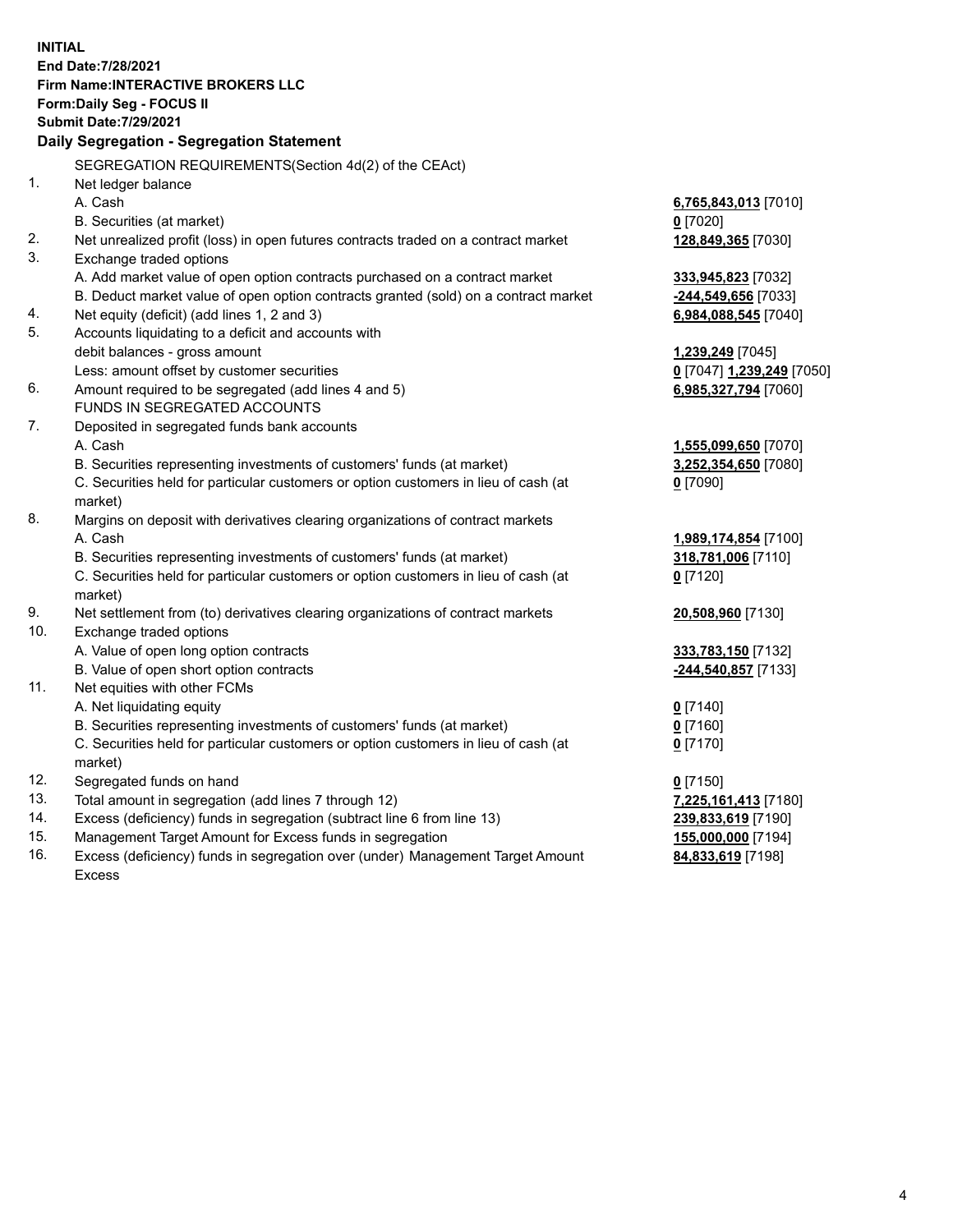**INITIAL End Date:7/28/2021 Firm Name:INTERACTIVE BROKERS LLC Form:Daily Seg - FOCUS II Submit Date:7/29/2021 Daily Segregation - Segregation Statement** SEGREGATION REQUIREMENTS(Section 4d(2) of the CEAct) 1. Net ledger balance A. Cash **6,765,843,013** [7010] B. Securities (at market) **0** [7020] 2. Net unrealized profit (loss) in open futures contracts traded on a contract market **128,849,365** [7030] 3. Exchange traded options A. Add market value of open option contracts purchased on a contract market **333,945,823** [7032] B. Deduct market value of open option contracts granted (sold) on a contract market **-244,549,656** [7033] 4. Net equity (deficit) (add lines 1, 2 and 3) **6,984,088,545** [7040] 5. Accounts liquidating to a deficit and accounts with debit balances - gross amount **1,239,249** [7045] Less: amount offset by customer securities **0** [7047] **1,239,249** [7050] 6. Amount required to be segregated (add lines 4 and 5) **6,985,327,794** [7060] FUNDS IN SEGREGATED ACCOUNTS 7. Deposited in segregated funds bank accounts A. Cash **1,555,099,650** [7070] B. Securities representing investments of customers' funds (at market) **3,252,354,650** [7080] C. Securities held for particular customers or option customers in lieu of cash (at market) **0** [7090] 8. Margins on deposit with derivatives clearing organizations of contract markets A. Cash **1,989,174,854** [7100] B. Securities representing investments of customers' funds (at market) **318,781,006** [7110] C. Securities held for particular customers or option customers in lieu of cash (at market) **0** [7120] 9. Net settlement from (to) derivatives clearing organizations of contract markets **20,508,960** [7130] 10. Exchange traded options A. Value of open long option contracts **333,783,150** [7132] B. Value of open short option contracts **-244,540,857** [7133] 11. Net equities with other FCMs A. Net liquidating equity **0** [7140] B. Securities representing investments of customers' funds (at market) **0** [7160] C. Securities held for particular customers or option customers in lieu of cash (at market) **0** [7170] 12. Segregated funds on hand **0** [7150] 13. Total amount in segregation (add lines 7 through 12) **7,225,161,413** [7180] 14. Excess (deficiency) funds in segregation (subtract line 6 from line 13) **239,833,619** [7190] 15. Management Target Amount for Excess funds in segregation **155,000,000** [7194] 16. Excess (deficiency) funds in segregation over (under) Management Target Amount **84,833,619** [7198]

Excess